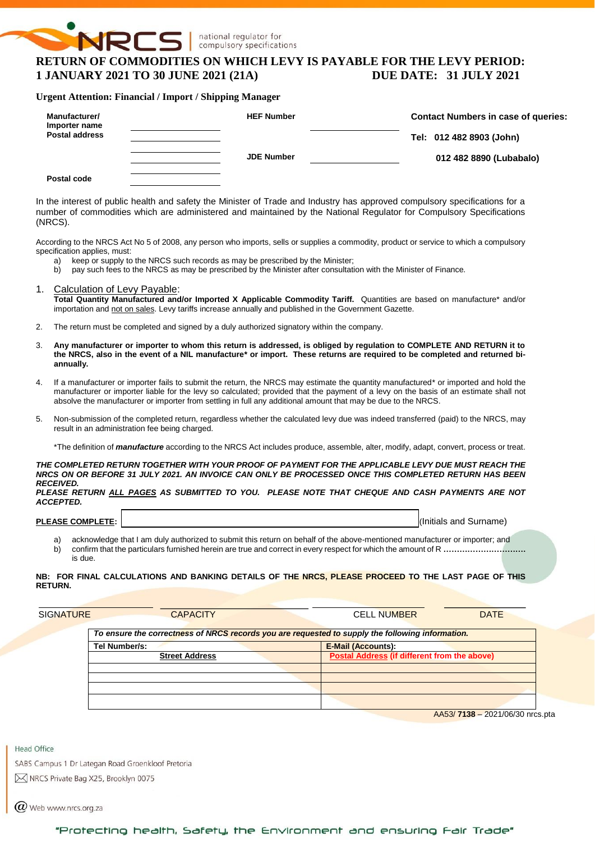# **NRCS RETURN OF COMMODITIES ON WHICH LEVY IS PAYABLE FOR THE LEVY PERIOD: 1 JANUARY 2021 TO 30 JUNE 2021 (21A) DUE DATE: 31 JULY 2021**

national regulator for compulsory specifications

#### **Urgent Attention: Financial / Import / Shipping Manager**

| Manufacturer/<br>Importer name | <b>HEF Number</b> | <b>Contact Numbers in case of queries:</b> |  |  |  |
|--------------------------------|-------------------|--------------------------------------------|--|--|--|
| <b>Postal address</b>          |                   | Tel: 012 482 8903 (John)                   |  |  |  |
|                                | <b>JDE Number</b> | 012 482 8890 (Lubabalo)                    |  |  |  |
| Postal code                    |                   |                                            |  |  |  |

In the interest of public health and safety the Minister of Trade and Industry has approved compulsory specifications for a number of commodities which are administered and maintained by the National Regulator for Compulsory Specifications (NRCS).

According to the NRCS Act No 5 of 2008, any person who imports, sells or supplies a commodity, product or service to which a compulsory specification applies, must:

- a) keep or supply to the NRCS such records as may be prescribed by the Minister;
- b) pay such fees to the NRCS as may be prescribed by the Minister after consultation with the Minister of Finance.
- 1. Calculation of Levy Payable: **Total Quantity Manufactured and/or Imported X Applicable Commodity Tariff.** Quantities are based on manufacture\* and/or importation and not on sales. Levy tariffs increase annually and published in the Government Gazette.
- 2. The return must be completed and signed by a duly authorized signatory within the company.
- 3. **Any manufacturer or importer to whom this return is addressed, is obliged by regulation to COMPLETE AND RETURN it to the NRCS, also in the event of a NIL manufacture\* or import. These returns are required to be completed and returned biannually.**
- 4. If a manufacturer or importer fails to submit the return, the NRCS may estimate the quantity manufactured\* or imported and hold the manufacturer or importer liable for the levy so calculated; provided that the payment of a levy on the basis of an estimate shall not absolve the manufacturer or importer from settling in full any additional amount that may be due to the NRCS.
- 5. Non-submission of the completed return, regardless whether the calculated levy due was indeed transferred (paid) to the NRCS, may result in an administration fee being charged.

\*The definition of *manufacture* according to the NRCS Act includes produce, assemble, alter, modify, adapt, convert, process or treat.

*THE COMPLETED RETURN TOGETHER WITH YOUR PROOF OF PAYMENT FOR THE APPLICABLE LEVY DUE MUST REACH THE NRCS ON OR BEFORE 31 JULY 2021. AN INVOICE CAN ONLY BE PROCESSED ONCE THIS COMPLETED RETURN HAS BEEN RECEIVED.*

*PLEASE RETURN ALL PAGES AS SUBMITTED TO YOU. PLEASE NOTE THAT CHEQUE AND CASH PAYMENTS ARE NOT ACCEPTED.*

**PLEASE COMPLETE:** I, and I, (Initials and Surname) **PLEASE COMPLETE:** I, (Initials and Surname)

a) acknowledge that I am duly authorized to submit this return on behalf of the above-mentioned manufacturer or importer; and b) confirm that the particulars furnished herein are true and correct in every respect for which the amount of R **………………………….** is due.

#### **NB: FOR FINAL CALCULATIONS AND BANKING DETAILS OF THE NRCS, PLEASE PROCEED TO THE LAST PAGE OF THIS RETURN.**

| <b>CAPACITY</b>       | <b>CELL NUMBER</b>        | <b>DATE</b>                                                                                                                                      |
|-----------------------|---------------------------|--------------------------------------------------------------------------------------------------------------------------------------------------|
|                       |                           |                                                                                                                                                  |
|                       | <b>E-Mail (Accounts):</b> |                                                                                                                                                  |
| <b>Street Address</b> |                           |                                                                                                                                                  |
|                       |                           |                                                                                                                                                  |
|                       |                           |                                                                                                                                                  |
|                       |                           |                                                                                                                                                  |
|                       |                           |                                                                                                                                                  |
|                       | Tel Number/s:             | To ensure the correctness of NRCS records you are requested to supply the following information.<br>Postal Address (if different from the above) |

AA53/ **7138** – 2021/06/30 nrcs.pta

**Head Office** 

SABS Campus 1 Dr Lategan Road Groenkloof Pretoria

M NRCS Private Bag X25, Brooklyn 0075

 $\omega$  Web www.nrcs.org.za

## "Protecting health, Safety, the Environment and ensuring Fair Trade"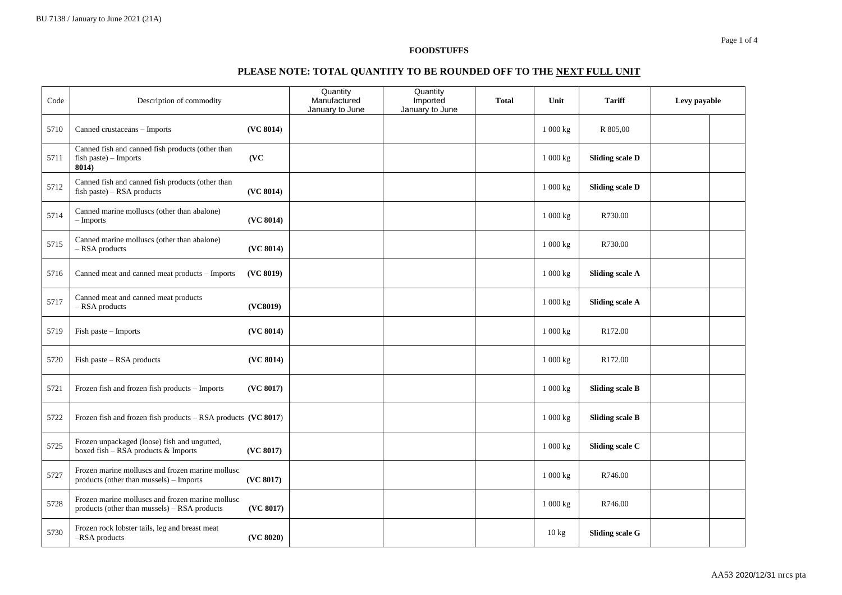### **PLEASE NOTE: TOTAL QUANTITY TO BE ROUNDED OFF TO THE NEXT FULL UNIT**

| Code | Description of commodity                                                                         |           | Quantity<br>Manufactured<br>January to June | Quantity<br>Imported<br>January to June | <b>Total</b> | Unit                  | <b>Tariff</b>          | Levy payable |  |
|------|--------------------------------------------------------------------------------------------------|-----------|---------------------------------------------|-----------------------------------------|--------------|-----------------------|------------------------|--------------|--|
| 5710 | Canned crustaceans - Imports                                                                     | (VC 8014) |                                             |                                         |              | 1 000 kg              | R 805,00               |              |  |
| 5711 | Canned fish and canned fish products (other than<br>fish paste) - Imports<br>8014)               | (VC)      |                                             |                                         |              | 1 000 kg              | <b>Sliding scale D</b> |              |  |
| 5712 | Canned fish and canned fish products (other than<br>fish paste) - RSA products                   | (VC 8014) |                                             |                                         |              | $1\ 000\ \mathrm{kg}$ | <b>Sliding scale D</b> |              |  |
| 5714 | Canned marine molluscs (other than abalone)<br>$-$ Imports                                       | (VC 8014) |                                             |                                         |              | $1\ 000\ \mathrm{kg}$ | R730.00                |              |  |
| 5715 | Canned marine molluscs (other than abalone)<br>- RSA products                                    | (VC 8014) |                                             |                                         |              | 1 000 kg              | R730.00                |              |  |
| 5716 | Canned meat and canned meat products - Imports                                                   | (VC 8019) |                                             |                                         |              | 1000 kg               | <b>Sliding scale A</b> |              |  |
| 5717 | Canned meat and canned meat products<br>$-$ RSA products                                         | (VC8019)  |                                             |                                         |              | 1000 kg               | <b>Sliding scale A</b> |              |  |
| 5719 | Fish paste - Imports                                                                             | (VC 8014) |                                             |                                         |              | 1 000 kg              | R172.00                |              |  |
| 5720 | Fish paste – RSA products                                                                        | (VC 8014) |                                             |                                         |              | 1000 kg               | R172.00                |              |  |
| 5721 | Frozen fish and frozen fish products - Imports                                                   | (VC 8017) |                                             |                                         |              | 1 000 kg              | <b>Sliding scale B</b> |              |  |
| 5722 | Frozen fish and frozen fish products $-$ RSA products (VC 8017)                                  |           |                                             |                                         |              | 1 000 kg              | <b>Sliding scale B</b> |              |  |
| 5725 | Frozen unpackaged (loose) fish and ungutted,<br>boxed fish - RSA products & Imports              | (VC 8017) |                                             |                                         |              | 1 000 kg              | Sliding scale C        |              |  |
| 5727 | Frozen marine molluscs and frozen marine mollusc<br>products (other than mussels) – Imports      | (VC 8017) |                                             |                                         |              | 1 000 kg              | R746.00                |              |  |
| 5728 | Frozen marine molluscs and frozen marine mollusc<br>products (other than mussels) - RSA products | (VC 8017) |                                             |                                         |              | 1000 kg               | R746.00                |              |  |
| 5730 | Frozen rock lobster tails, leg and breast meat<br>-RSA products                                  | (VC 8020) |                                             |                                         |              | $10 \text{ kg}$       | <b>Sliding scale G</b> |              |  |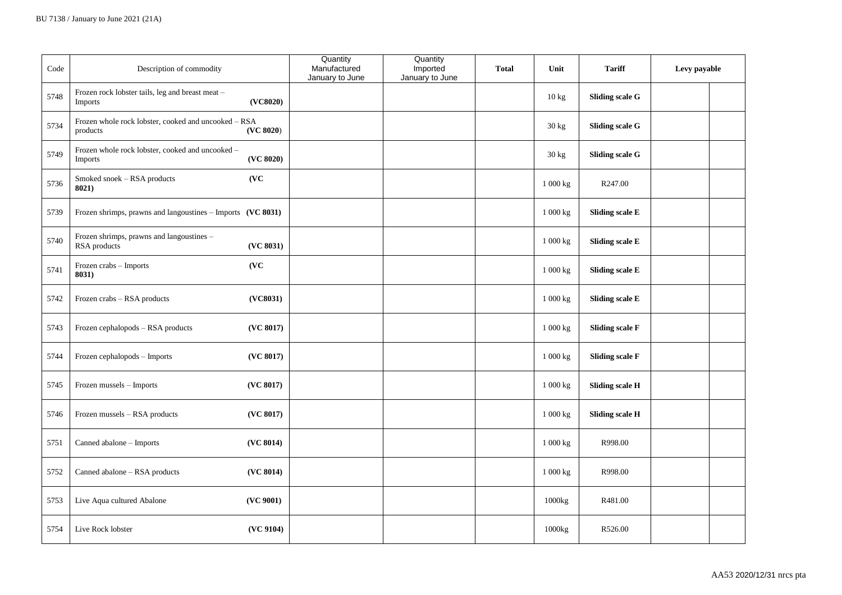| Code | Description of commodity                                                  |           | Quantity<br>Manufactured<br>January to June | Quantity<br>Imported<br>January to June | <b>Total</b> | Unit            | <b>Tariff</b>          | Levy payable |  |
|------|---------------------------------------------------------------------------|-----------|---------------------------------------------|-----------------------------------------|--------------|-----------------|------------------------|--------------|--|
| 5748 | Frozen rock lobster tails, leg and breast meat -<br>Imports               | (VC8020)  |                                             |                                         |              | $10 \text{ kg}$ | <b>Sliding scale G</b> |              |  |
| 5734 | Frozen whole rock lobster, cooked and uncooked – RSA<br>$\bold{products}$ | (VC 8020) |                                             |                                         |              | 30 kg           | <b>Sliding scale G</b> |              |  |
| 5749 | Frozen whole rock lobster, cooked and uncooked -<br>Imports               | (VC 8020) |                                             |                                         |              | 30 kg           | <b>Sliding scale G</b> |              |  |
| 5736 | Smoked snoek - RSA products<br>8021)                                      | (VC)      |                                             |                                         |              | 1 000 kg        | R247.00                |              |  |
| 5739 | Frozen shrimps, prawns and langoustines - Imports (VC 8031)               |           |                                             |                                         |              | 1 000 kg        | Sliding scale E        |              |  |
| 5740 | Frozen shrimps, prawns and langoustines -<br>RSA products                 | (VC 8031) |                                             |                                         |              | 1 000 kg        | Sliding scale E        |              |  |
| 5741 | Frozen crabs - Imports<br>8031)                                           | (VC)      |                                             |                                         |              | 1000 kg         | Sliding scale E        |              |  |
| 5742 | Frozen crabs - RSA products                                               | (VC8031)  |                                             |                                         |              | 1 000 kg        | <b>Sliding scale E</b> |              |  |
| 5743 | Frozen cephalopods - RSA products                                         | (VC 8017) |                                             |                                         |              | 1 000 kg        | <b>Sliding scale F</b> |              |  |
| 5744 | Frozen cephalopods - Imports                                              | (VC 8017) |                                             |                                         |              | 1 000 kg        | <b>Sliding scale F</b> |              |  |
| 5745 | Frozen mussels - Imports                                                  | (VC 8017) |                                             |                                         |              | 1 000 kg        | <b>Sliding scale H</b> |              |  |
| 5746 | Frozen mussels - RSA products                                             | (VC 8017) |                                             |                                         |              | 1 000 kg        | <b>Sliding scale H</b> |              |  |
| 5751 | Canned abalone - Imports                                                  | (VC 8014) |                                             |                                         |              | 1 000 kg        | R998.00                |              |  |
| 5752 | Canned abalone - RSA products                                             | (VC 8014) |                                             |                                         |              | 1 000 kg        | R998.00                |              |  |
| 5753 | Live Aqua cultured Abalone                                                | (VC 9001) |                                             |                                         |              | 1000kg          | R481.00                |              |  |
| 5754 | Live Rock lobster                                                         | (VC 9104) |                                             |                                         |              | 1000kg          | R526.00                |              |  |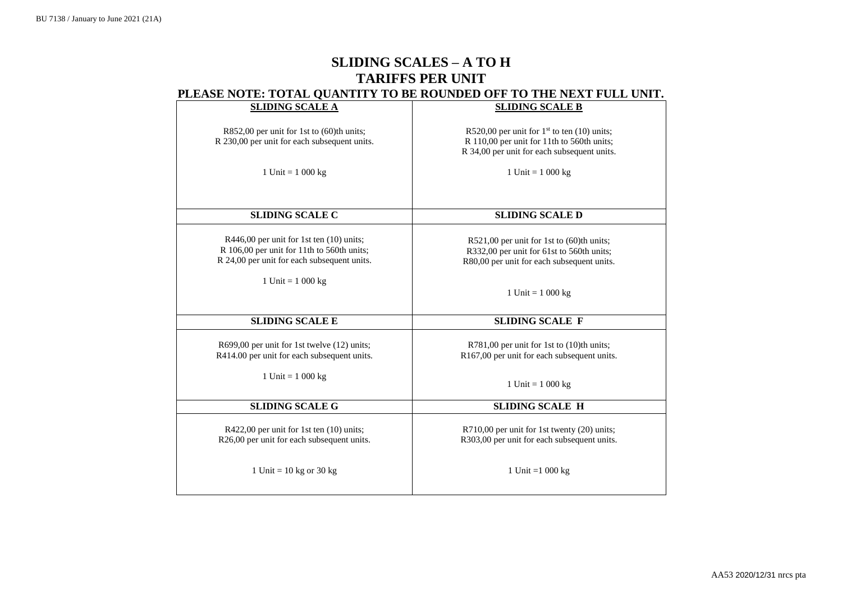# **SLIDING SCALES – A TO H TARIFFS PER UNIT PLEASE NOTE: TOTAL QUANTITY TO BE ROUNDED OFF TO THE NEXT FULL UNIT.**

| <b>SLIDING SCALE A</b>                       | <b>SLIDING SCALE B</b>                         |
|----------------------------------------------|------------------------------------------------|
|                                              |                                                |
|                                              |                                                |
| R852,00 per unit for 1st to (60)th units;    | R520,00 per unit for $1st$ to ten (10) units;  |
| R 230,00 per unit for each subsequent units. | R 110,00 per unit for 11th to 560th units;     |
|                                              | R 34,00 per unit for each subsequent units.    |
|                                              |                                                |
|                                              |                                                |
| 1 Unit = $1000 \text{ kg}$                   | 1 Unit = $1\ 000\ kg$                          |
|                                              |                                                |
|                                              |                                                |
|                                              |                                                |
|                                              |                                                |
| <b>SLIDING SCALE C</b>                       | <b>SLIDING SCALE D</b>                         |
|                                              |                                                |
| $R446,00$ per unit for 1st ten $(10)$ units; |                                                |
|                                              | $R521,00$ per unit for 1st to $(60)$ th units; |
| R 106,00 per unit for 11th to 560th units;   | R332,00 per unit for 61st to 560th units;      |
| R 24,00 per unit for each subsequent units.  | R80,00 per unit for each subsequent units.     |
|                                              |                                                |
| 1 Unit = $1000 \text{ kg}$                   |                                                |
|                                              |                                                |
|                                              | 1 Unit = $1\ 000 \text{ kg}$                   |
|                                              |                                                |
|                                              |                                                |
| <b>SLIDING SCALE E</b>                       | <b>SLIDING SCALE F</b>                         |
|                                              |                                                |
| R699,00 per unit for 1st twelve (12) units;  | R781,00 per unit for 1st to (10)th units;      |
|                                              |                                                |
| R414.00 per unit for each subsequent units.  | R167,00 per unit for each subsequent units.    |
|                                              |                                                |
| 1 Unit = $1000 \text{ kg}$                   |                                                |
|                                              | 1 Unit = $1\ 000 \text{ kg}$                   |
|                                              |                                                |
| <b>SLIDING SCALE G</b>                       | <b>SLIDING SCALE H</b>                         |
|                                              |                                                |
|                                              |                                                |
| R422,00 per unit for 1st ten (10) units;     | R710,00 per unit for 1st twenty (20) units;    |
| R26,00 per unit for each subsequent units.   | R303,00 per unit for each subsequent units.    |
|                                              |                                                |
|                                              |                                                |
|                                              |                                                |
| 1 Unit = $10$ kg or $30$ kg                  | 1 Unit = $1000 \text{ kg}$                     |
|                                              |                                                |
|                                              |                                                |